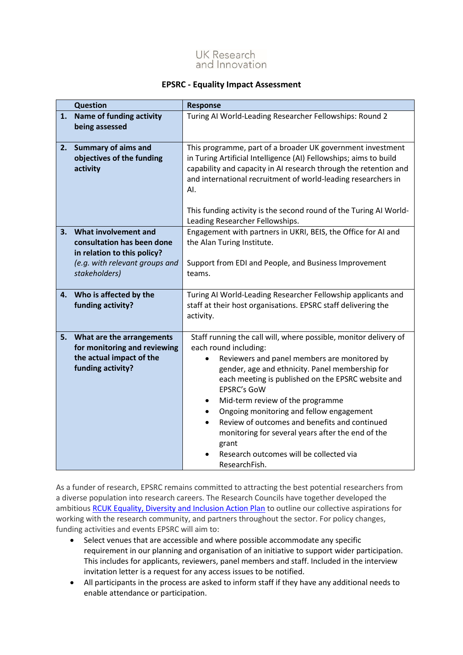

## **EPSRC - Equality Impact Assessment**

| <b>Question</b> |                                                                                                                                      | <b>Response</b>                                                                                                                                                                                                                                                                                                                                                                                                                                                                                                                                               |  |  |
|-----------------|--------------------------------------------------------------------------------------------------------------------------------------|---------------------------------------------------------------------------------------------------------------------------------------------------------------------------------------------------------------------------------------------------------------------------------------------------------------------------------------------------------------------------------------------------------------------------------------------------------------------------------------------------------------------------------------------------------------|--|--|
| 1.              | <b>Name of funding activity</b><br>being assessed                                                                                    | Turing AI World-Leading Researcher Fellowships: Round 2                                                                                                                                                                                                                                                                                                                                                                                                                                                                                                       |  |  |
| 2.              | <b>Summary of aims and</b><br>objectives of the funding<br>activity                                                                  | This programme, part of a broader UK government investment<br>in Turing Artificial Intelligence (AI) Fellowships; aims to build<br>capability and capacity in AI research through the retention and<br>and international recruitment of world-leading researchers in<br>AI.<br>This funding activity is the second round of the Turing AI World-<br>Leading Researcher Fellowships.                                                                                                                                                                           |  |  |
| 3.              | What involvement and<br>consultation has been done<br>in relation to this policy?<br>(e.g. with relevant groups and<br>stakeholders) | Engagement with partners in UKRI, BEIS, the Office for AI and<br>the Alan Turing Institute.<br>Support from EDI and People, and Business Improvement<br>teams.                                                                                                                                                                                                                                                                                                                                                                                                |  |  |
| 4.              | Who is affected by the<br>funding activity?                                                                                          | Turing AI World-Leading Researcher Fellowship applicants and<br>staff at their host organisations. EPSRC staff delivering the<br>activity.                                                                                                                                                                                                                                                                                                                                                                                                                    |  |  |
| 5.              | What are the arrangements<br>for monitoring and reviewing<br>the actual impact of the<br>funding activity?                           | Staff running the call will, where possible, monitor delivery of<br>each round including:<br>Reviewers and panel members are monitored by<br>gender, age and ethnicity. Panel membership for<br>each meeting is published on the EPSRC website and<br><b>EPSRC's GoW</b><br>Mid-term review of the programme<br>$\bullet$<br>Ongoing monitoring and fellow engagement<br>Review of outcomes and benefits and continued<br>$\bullet$<br>monitoring for several years after the end of the<br>grant<br>Research outcomes will be collected via<br>ResearchFish. |  |  |

As a funder of research, EPSRC remains committed to attracting the best potential researchers from a diverse population into research careers. The Research Councils have together developed the ambitious [RCUK Equality, Diversity and Inclusion Action Plan](https://www.ukri.org/files/legacy/documents/actionplan2016-pdf/) to outline our collective aspirations for working with the research community, and partners throughout the sector. For policy changes, funding activities and events EPSRC will aim to:

- Select venues that are accessible and where possible accommodate any specific requirement in our planning and organisation of an initiative to support wider participation. This includes for applicants, reviewers, panel members and staff. Included in the interview invitation letter is a request for any access issues to be notified.
- All participants in the process are asked to inform staff if they have any additional needs to enable attendance or participation.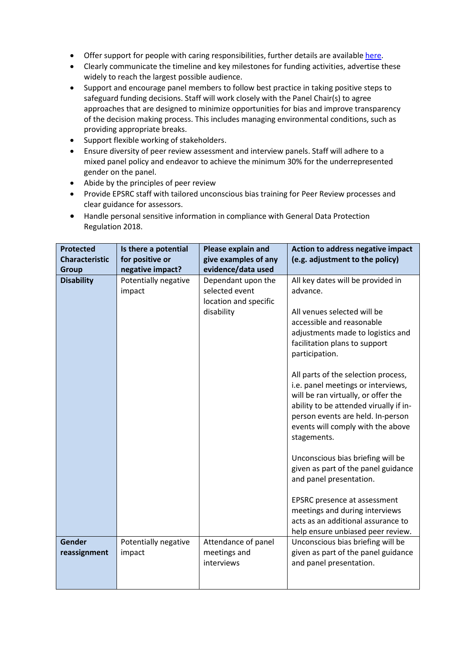- Offer support for people with caring responsibilities, further details are available [here.](https://epsrc.ukri.org/funding/applicationprocess/basics/caringresponsibilities/)
- Clearly communicate the timeline and key milestones for funding activities, advertise these widely to reach the largest possible audience.
- Support and encourage panel members to follow best practice in taking positive steps to safeguard funding decisions. Staff will work closely with the Panel Chair(s) to agree approaches that are designed to minimize opportunities for bias and improve transparency of the decision making process. This includes managing environmental conditions, such as providing appropriate breaks.
- Support flexible working of stakeholders.
- Ensure diversity of peer review assessment and interview panels. Staff will adhere to a mixed panel policy and endeavor to achieve the minimum 30% for the underrepresented gender on the panel.
- Abide by the principles of peer review
- Provide EPSRC staff with tailored unconscious bias training for Peer Review processes and clear guidance for assessors.
- Handle personal sensitive information in compliance with General Data Protection Regulation 2018.

| <b>Protected</b>      | Is there a potential | Please explain and    | <b>Action to address negative impact</b>                                    |
|-----------------------|----------------------|-----------------------|-----------------------------------------------------------------------------|
| <b>Characteristic</b> | for positive or      | give examples of any  | (e.g. adjustment to the policy)                                             |
| Group                 | negative impact?     | evidence/data used    |                                                                             |
| <b>Disability</b>     | Potentially negative | Dependant upon the    | All key dates will be provided in                                           |
|                       | impact               | selected event        | advance.                                                                    |
|                       |                      | location and specific |                                                                             |
|                       |                      | disability            | All venues selected will be                                                 |
|                       |                      |                       | accessible and reasonable                                                   |
|                       |                      |                       | adjustments made to logistics and                                           |
|                       |                      |                       | facilitation plans to support                                               |
|                       |                      |                       | participation.                                                              |
|                       |                      |                       |                                                                             |
|                       |                      |                       | All parts of the selection process,                                         |
|                       |                      |                       | i.e. panel meetings or interviews,                                          |
|                       |                      |                       | will be ran virtually, or offer the                                         |
|                       |                      |                       | ability to be attended virually if in-<br>person events are held. In-person |
|                       |                      |                       | events will comply with the above                                           |
|                       |                      |                       | stagements.                                                                 |
|                       |                      |                       |                                                                             |
|                       |                      |                       | Unconscious bias briefing will be                                           |
|                       |                      |                       | given as part of the panel guidance                                         |
|                       |                      |                       | and panel presentation.                                                     |
|                       |                      |                       |                                                                             |
|                       |                      |                       | EPSRC presence at assessment                                                |
|                       |                      |                       | meetings and during interviews                                              |
|                       |                      |                       | acts as an additional assurance to                                          |
|                       |                      |                       | help ensure unbiased peer review.                                           |
| <b>Gender</b>         | Potentially negative | Attendance of panel   | Unconscious bias briefing will be                                           |
| reassignment          | impact               | meetings and          | given as part of the panel guidance                                         |
|                       |                      | interviews            | and panel presentation.                                                     |
|                       |                      |                       |                                                                             |
|                       |                      |                       |                                                                             |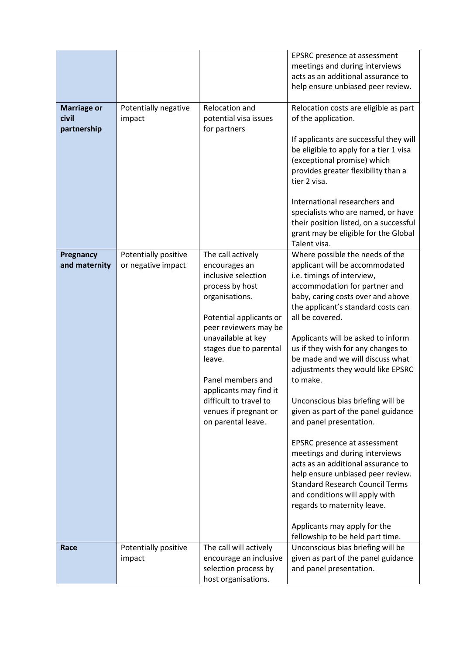| <b>Marriage or</b><br>civil<br>partnership | Potentially negative<br>impact             | Relocation and<br>potential visa issues<br>for partners                                                                                                                                                                                                                                                                              | EPSRC presence at assessment<br>meetings and during interviews<br>acts as an additional assurance to<br>help ensure unbiased peer review.<br>Relocation costs are eligible as part<br>of the application.<br>If applicants are successful they will<br>be eligible to apply for a tier 1 visa<br>(exceptional promise) which<br>provides greater flexibility than a<br>tier 2 visa.<br>International researchers and<br>specialists who are named, or have<br>their position listed, on a successful<br>grant may be eligible for the Global<br>Talent visa.                                                                                                                                                                                                                                                                       |
|--------------------------------------------|--------------------------------------------|--------------------------------------------------------------------------------------------------------------------------------------------------------------------------------------------------------------------------------------------------------------------------------------------------------------------------------------|------------------------------------------------------------------------------------------------------------------------------------------------------------------------------------------------------------------------------------------------------------------------------------------------------------------------------------------------------------------------------------------------------------------------------------------------------------------------------------------------------------------------------------------------------------------------------------------------------------------------------------------------------------------------------------------------------------------------------------------------------------------------------------------------------------------------------------|
| Pregnancy<br>and maternity                 | Potentially positive<br>or negative impact | The call actively<br>encourages an<br>inclusive selection<br>process by host<br>organisations.<br>Potential applicants or<br>peer reviewers may be<br>unavailable at key<br>stages due to parental<br>leave.<br>Panel members and<br>applicants may find it<br>difficult to travel to<br>venues if pregnant or<br>on parental leave. | Where possible the needs of the<br>applicant will be accommodated<br>i.e. timings of interview,<br>accommodation for partner and<br>baby, caring costs over and above<br>the applicant's standard costs can<br>all be covered.<br>Applicants will be asked to inform<br>us if they wish for any changes to<br>be made and we will discuss what<br>adjustments they would like EPSRC<br>to make.<br>Unconscious bias briefing will be<br>given as part of the panel guidance<br>and panel presentation.<br>EPSRC presence at assessment<br>meetings and during interviews<br>acts as an additional assurance to<br>help ensure unbiased peer review.<br><b>Standard Research Council Terms</b><br>and conditions will apply with<br>regards to maternity leave.<br>Applicants may apply for the<br>fellowship to be held part time. |
| Race                                       | Potentially positive<br>impact             | The call will actively<br>encourage an inclusive<br>selection process by<br>host organisations.                                                                                                                                                                                                                                      | Unconscious bias briefing will be<br>given as part of the panel guidance<br>and panel presentation.                                                                                                                                                                                                                                                                                                                                                                                                                                                                                                                                                                                                                                                                                                                                |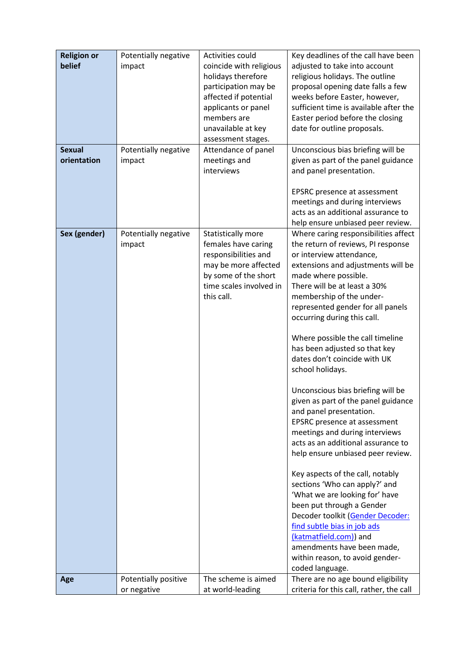| <b>Religion or</b><br>belief | Potentially negative | Activities could<br>coincide with religious | Key deadlines of the call have been      |
|------------------------------|----------------------|---------------------------------------------|------------------------------------------|
|                              | impact               |                                             | adjusted to take into account            |
|                              |                      | holidays therefore                          | religious holidays. The outline          |
|                              |                      | participation may be                        | proposal opening date falls a few        |
|                              |                      | affected if potential                       | weeks before Easter, however,            |
|                              |                      | applicants or panel                         | sufficient time is available after the   |
|                              |                      | members are                                 | Easter period before the closing         |
|                              |                      | unavailable at key                          | date for outline proposals.              |
|                              |                      | assessment stages.                          |                                          |
| <b>Sexual</b>                | Potentially negative | Attendance of panel                         | Unconscious bias briefing will be        |
| orientation                  | impact               | meetings and                                | given as part of the panel guidance      |
|                              |                      | interviews                                  | and panel presentation.                  |
|                              |                      |                                             | EPSRC presence at assessment             |
|                              |                      |                                             | meetings and during interviews           |
|                              |                      |                                             | acts as an additional assurance to       |
|                              |                      |                                             | help ensure unbiased peer review.        |
| Sex (gender)                 | Potentially negative | Statistically more                          | Where caring responsibilities affect     |
|                              | impact               | females have caring                         | the return of reviews, PI response       |
|                              |                      | responsibilities and                        | or interview attendance,                 |
|                              |                      | may be more affected                        | extensions and adjustments will be       |
|                              |                      | by some of the short                        | made where possible.                     |
|                              |                      | time scales involved in                     | There will be at least a 30%             |
|                              |                      | this call.                                  | membership of the under-                 |
|                              |                      |                                             | represented gender for all panels        |
|                              |                      |                                             | occurring during this call.              |
|                              |                      |                                             |                                          |
|                              |                      |                                             | Where possible the call timeline         |
|                              |                      |                                             | has been adjusted so that key            |
|                              |                      |                                             | dates don't coincide with UK             |
|                              |                      |                                             | school holidays.                         |
|                              |                      |                                             |                                          |
|                              |                      |                                             | Unconscious bias briefing will be        |
|                              |                      |                                             | given as part of the panel guidance      |
|                              |                      |                                             | and panel presentation.                  |
|                              |                      |                                             | EPSRC presence at assessment             |
|                              |                      |                                             | meetings and during interviews           |
|                              |                      |                                             | acts as an additional assurance to       |
|                              |                      |                                             | help ensure unbiased peer review.        |
|                              |                      |                                             | Key aspects of the call, notably         |
|                              |                      |                                             | sections 'Who can apply?' and            |
|                              |                      |                                             | 'What we are looking for' have           |
|                              |                      |                                             | been put through a Gender                |
|                              |                      |                                             | Decoder toolkit (Gender Decoder:         |
|                              |                      |                                             | find subtle bias in job ads              |
|                              |                      |                                             | (katmatfield.com)) and                   |
|                              |                      |                                             | amendments have been made,               |
|                              |                      |                                             | within reason, to avoid gender-          |
|                              |                      |                                             | coded language.                          |
| Age                          | Potentially positive | The scheme is aimed                         | There are no age bound eligibility       |
|                              | or negative          | at world-leading                            | criteria for this call, rather, the call |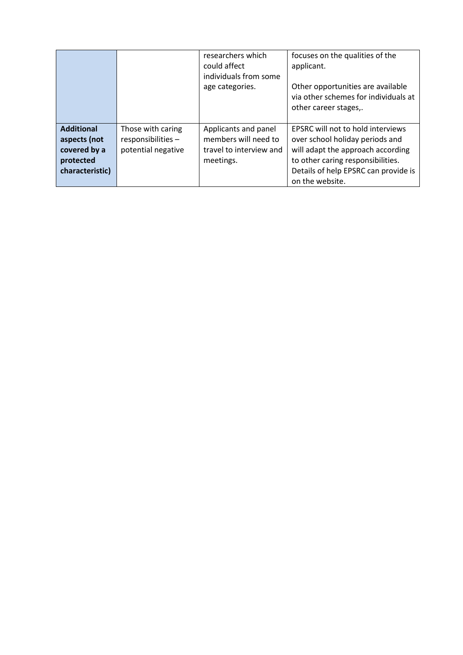|                                                   |                                                               | researchers which<br>could affect<br>individuals from some<br>age categories. | focuses on the qualities of the<br>applicant.<br>Other opportunities are available<br>via other schemes for individuals at<br>other career stages,. |
|---------------------------------------------------|---------------------------------------------------------------|-------------------------------------------------------------------------------|-----------------------------------------------------------------------------------------------------------------------------------------------------|
| <b>Additional</b><br>aspects (not<br>covered by a | Those with caring<br>responsibilities -<br>potential negative | Applicants and panel<br>members will need to<br>travel to interview and       | <b>EPSRC will not to hold interviews</b><br>over school holiday periods and<br>will adapt the approach according                                    |
| protected<br>characteristic)                      |                                                               | meetings.                                                                     | to other caring responsibilities.<br>Details of help EPSRC can provide is<br>on the website.                                                        |